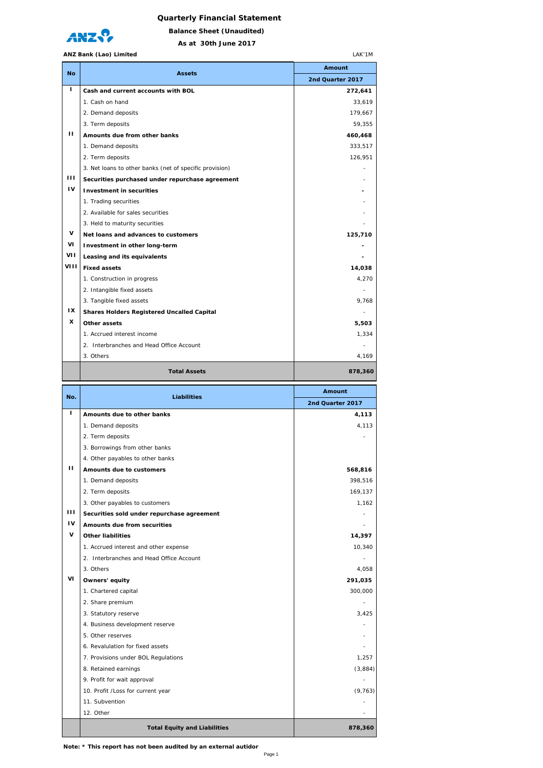## **Quarterly Financial Statement**



**As at 30th June 2017 Balance Sheet (Unaudited)**

## **ANZ Bank (Lao) Limited**

|           | ANZ Bank (Lao) Limited<br>LAK'1M                        |                                                  |  |  |
|-----------|---------------------------------------------------------|--------------------------------------------------|--|--|
| <b>No</b> | <b>Assets</b>                                           | Amount                                           |  |  |
|           |                                                         | 2nd Quarter 2017                                 |  |  |
| L         | Cash and current accounts with BOL                      | 272,641                                          |  |  |
|           | 1. Cash on hand                                         | 33,619                                           |  |  |
|           | 2. Demand deposits                                      | 179,667                                          |  |  |
| п         | 3. Term deposits                                        | 59,355                                           |  |  |
|           | Amounts due from other banks                            | 460,468                                          |  |  |
|           | 1. Demand deposits<br>2. Term deposits                  | 333,517                                          |  |  |
|           | 3. Net loans to other banks (net of specific provision) | 126,951                                          |  |  |
| Ш         | Securities purchased under repurchase agreement         |                                                  |  |  |
| IV        | <b>Investment in securities</b>                         |                                                  |  |  |
|           | 1. Trading securities                                   |                                                  |  |  |
|           | 2. Available for sales securities                       |                                                  |  |  |
|           | 3. Held to maturity securities                          |                                                  |  |  |
| V         | Net loans and advances to customers                     | 125,710                                          |  |  |
| ۷ı        | Investment in other long-term                           |                                                  |  |  |
| VII       | Leasing and its equivalents                             |                                                  |  |  |
| VIII      | <b>Fixed assets</b>                                     | 14,038                                           |  |  |
|           | 1. Construction in progress                             | 4,270                                            |  |  |
|           | 2. Intangible fixed assets                              |                                                  |  |  |
|           | 3. Tangible fixed assets                                | 9,768                                            |  |  |
| IX        | <b>Shares Holders Registered Uncalled Capital</b>       |                                                  |  |  |
| x         | Other assets                                            | 5,503                                            |  |  |
|           | 1. Accrued interest income                              | 1,334                                            |  |  |
|           | 2. Interbranches and Head Office Account                |                                                  |  |  |
|           | 3. Others                                               | 4,169                                            |  |  |
|           | <b>Total Assets</b>                                     | 878,360                                          |  |  |
|           |                                                         | Amount                                           |  |  |
| No.       | <b>Liabilities</b>                                      |                                                  |  |  |
|           |                                                         | 2nd Quarter 2017                                 |  |  |
| г         | Amounts due to other banks                              | 4,113                                            |  |  |
|           | 1. Demand deposits                                      | 4,113                                            |  |  |
|           | 2. Term deposits                                        |                                                  |  |  |
|           | 3. Borrowings from other banks                          |                                                  |  |  |
|           | 4. Other payables to other banks                        |                                                  |  |  |
| п         | Amounts due to customers                                | 568,816                                          |  |  |
|           | 1. Demand deposits                                      | 398,516                                          |  |  |
|           | 2. Term deposits                                        | 169,137                                          |  |  |
|           | 3. Other payables to customers                          |                                                  |  |  |
| ш         | Securities sold under repurchase agreement              |                                                  |  |  |
| ı٧        | Amounts due from securities                             |                                                  |  |  |
| v         | <b>Other liabilities</b>                                | 14,397                                           |  |  |
|           | 1. Accrued interest and other expense                   | 10,340                                           |  |  |
|           | 2. Interbranches and Head Office Account                | ٠                                                |  |  |
|           | 3. Others                                               |                                                  |  |  |
| VI        | Owners' equity                                          | 291,035                                          |  |  |
|           | 1. Chartered capital                                    | 300,000                                          |  |  |
|           | 2. Share premium                                        |                                                  |  |  |
|           | 3. Statutory reserve                                    | 3,425                                            |  |  |
|           | 4. Business development reserve                         |                                                  |  |  |
|           | 5. Other reserves                                       |                                                  |  |  |
|           | 6. Revalulation for fixed assets                        |                                                  |  |  |
|           | 7. Provisions under BOL Regulations                     | 1,257                                            |  |  |
|           | 8. Retained earnings                                    |                                                  |  |  |
|           | 9. Profit for wait approval                             |                                                  |  |  |
|           | 10. Profit / Loss for current year<br>11. Subvention    |                                                  |  |  |
|           | 12. Other                                               |                                                  |  |  |
|           | <b>Total Equity and Liabilities</b>                     | 1,162<br>4,058<br>(3,884)<br>(9, 763)<br>878,360 |  |  |

**Note: \* This report has not been audited by an external autidor**